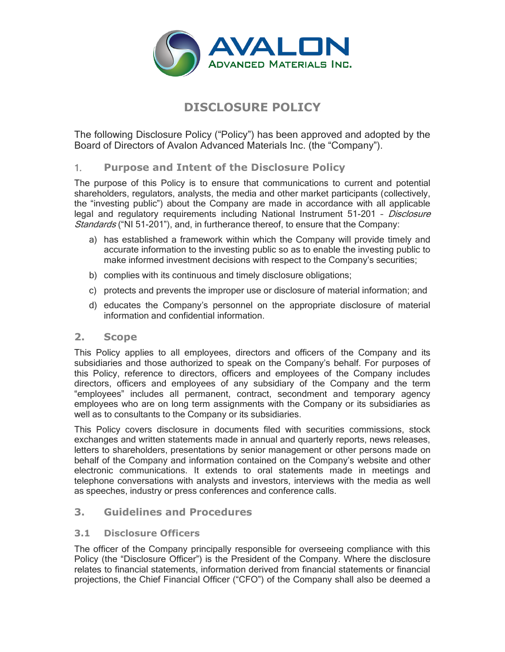

# **DISCLOSURE POLICY**

The following Disclosure Policy ("Policy") has been approved and adopted by the Board of Directors of Avalon Advanced Materials Inc. (the "Company").

# 1. **Purpose and Intent of the Disclosure Policy**

The purpose of this Policy is to ensure that communications to current and potential shareholders, regulators, analysts, the media and other market participants (collectively, the "investing public") about the Company are made in accordance with all applicable legal and regulatory reguirements including National Instrument 51-201 - Disclosure Standards ("NI 51-201"), and, in furtherance thereof, to ensure that the Company:

- a) has established a framework within which the Company will provide timely and accurate information to the investing public so as to enable the investing public to make informed investment decisions with respect to the Company's securities;
- b) complies with its continuous and timely disclosure obligations;
- c) protects and prevents the improper use or disclosure of material information; and
- d) educates the Company's personnel on the appropriate disclosure of material information and confidential information.

# **2. Scope**

This Policy applies to all employees, directors and officers of the Company and its subsidiaries and those authorized to speak on the Company's behalf. For purposes of this Policy, reference to directors, officers and employees of the Company includes directors, officers and employees of any subsidiary of the Company and the term "employees" includes all permanent, contract, secondment and temporary agency employees who are on long term assignments with the Company or its subsidiaries as well as to consultants to the Company or its subsidiaries.

This Policy covers disclosure in documents filed with securities commissions, stock exchanges and written statements made in annual and quarterly reports, news releases, letters to shareholders, presentations by senior management or other persons made on behalf of the Company and information contained on the Company's website and other electronic communications. It extends to oral statements made in meetings and telephone conversations with analysts and investors, interviews with the media as well as speeches, industry or press conferences and conference calls.

# **3. Guidelines and Procedures**

# **3.1 Disclosure Officers**

The officer of the Company principally responsible for overseeing compliance with this Policy (the "Disclosure Officer") is the President of the Company. Where the disclosure relates to financial statements, information derived from financial statements or financial projections, the Chief Financial Officer ("CFO") of the Company shall also be deemed a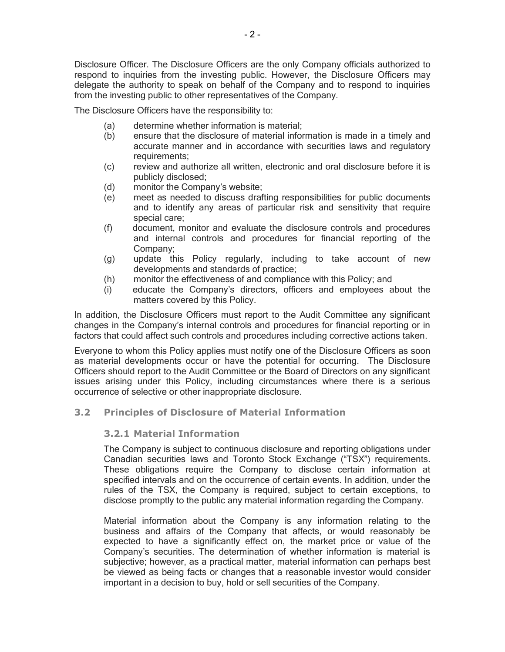Disclosure Officer. The Disclosure Officers are the only Company officials authorized to respond to inquiries from the investing public. However, the Disclosure Officers may delegate the authority to speak on behalf of the Company and to respond to inquiries from the investing public to other representatives of the Company.

The Disclosure Officers have the responsibility to:

- (a) determine whether information is material;
- (b) ensure that the disclosure of material information is made in a timely and accurate manner and in accordance with securities laws and regulatory requirements;
- (c) review and authorize all written, electronic and oral disclosure before it is publicly disclosed;
- (d) monitor the Company's website;
- (e) meet as needed to discuss drafting responsibilities for public documents and to identify any areas of particular risk and sensitivity that require special care;
- (f) document, monitor and evaluate the disclosure controls and procedures and internal controls and procedures for financial reporting of the Company;
- (g) update this Policy regularly, including to take account of new developments and standards of practice;
- (h) monitor the effectiveness of and compliance with this Policy; and
- (i) educate the Company's directors, officers and employees about the matters covered by this Policy.

In addition, the Disclosure Officers must report to the Audit Committee any significant changes in the Company's internal controls and procedures for financial reporting or in factors that could affect such controls and procedures including corrective actions taken.

Everyone to whom this Policy applies must notify one of the Disclosure Officers as soon as material developments occur or have the potential for occurring. The Disclosure Officers should report to the Audit Committee or the Board of Directors on any significant issues arising under this Policy, including circumstances where there is a serious occurrence of selective or other inappropriate disclosure.

#### **3.2 Principles of Disclosure of Material Information**

#### **3.2.1 Material Information**

The Company is subject to continuous disclosure and reporting obligations under Canadian securities laws and Toronto Stock Exchange ("TSX") requirements. These obligations require the Company to disclose certain information at specified intervals and on the occurrence of certain events. In addition, under the rules of the TSX, the Company is required, subject to certain exceptions, to disclose promptly to the public any material information regarding the Company.

Material information about the Company is any information relating to the business and affairs of the Company that affects, or would reasonably be expected to have a significantly effect on, the market price or value of the Company's securities. The determination of whether information is material is subjective; however, as a practical matter, material information can perhaps best be viewed as being facts or changes that a reasonable investor would consider important in a decision to buy, hold or sell securities of the Company.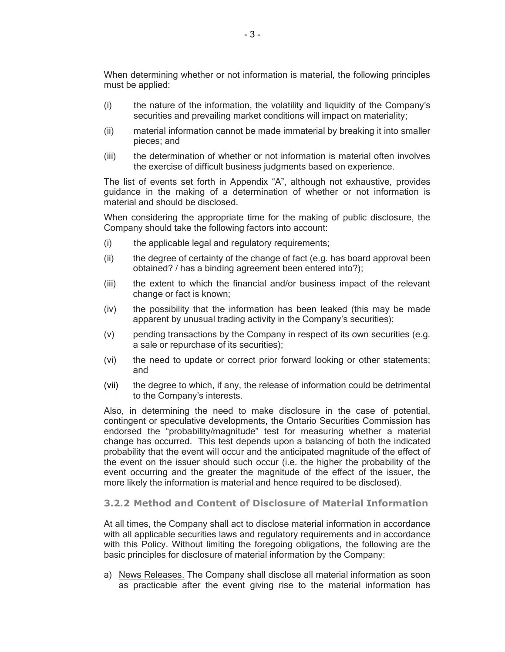When determining whether or not information is material, the following principles must be applied:

- (i) the nature of the information, the volatility and liquidity of the Company's securities and prevailing market conditions will impact on materiality;
- (ii) material information cannot be made immaterial by breaking it into smaller pieces; and
- (iii) the determination of whether or not information is material often involves the exercise of difficult business judgments based on experience.

The list of events set forth in Appendix "A", although not exhaustive, provides guidance in the making of a determination of whether or not information is material and should be disclosed.

When considering the appropriate time for the making of public disclosure, the Company should take the following factors into account:

- (i) the applicable legal and regulatory requirements;
- (ii) the degree of certainty of the change of fact (e.g. has board approval been obtained? / has a binding agreement been entered into?);
- (iii) the extent to which the financial and/or business impact of the relevant change or fact is known;
- (iv) the possibility that the information has been leaked (this may be made apparent by unusual trading activity in the Company's securities);
- (v) pending transactions by the Company in respect of its own securities (e.g. a sale or repurchase of its securities);
- (vi) the need to update or correct prior forward looking or other statements; and
- (vii) the degree to which, if any, the release of information could be detrimental to the Company's interests.

Also, in determining the need to make disclosure in the case of potential, contingent or speculative developments, the Ontario Securities Commission has endorsed the "probability/magnitude" test for measuring whether a material change has occurred. This test depends upon a balancing of both the indicated probability that the event will occur and the anticipated magnitude of the effect of the event on the issuer should such occur (i.e. the higher the probability of the event occurring and the greater the magnitude of the effect of the issuer, the more likely the information is material and hence required to be disclosed).

#### **3.2.2 Method and Content of Disclosure of Material Information**

At all times, the Company shall act to disclose material information in accordance with all applicable securities laws and regulatory requirements and in accordance with this Policy. Without limiting the foregoing obligations, the following are the basic principles for disclosure of material information by the Company:

a) News Releases. The Company shall disclose all material information as soon as practicable after the event giving rise to the material information has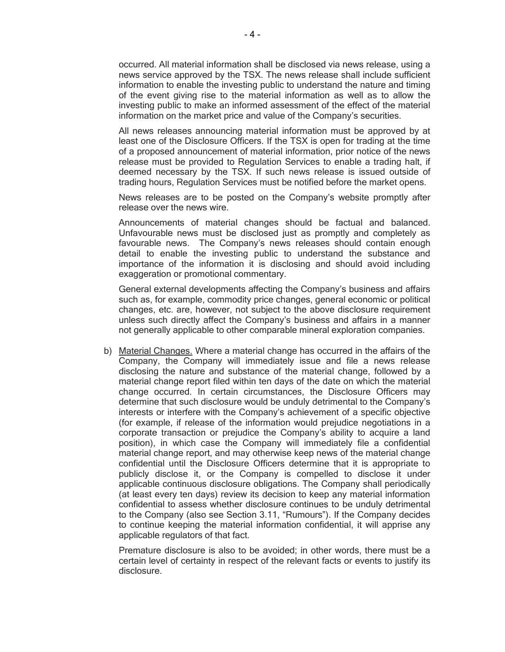occurred. All material information shall be disclosed via news release, using a news service approved by the TSX. The news release shall include sufficient information to enable the investing public to understand the nature and timing of the event giving rise to the material information as well as to allow the investing public to make an informed assessment of the effect of the material information on the market price and value of the Company's securities.

All news releases announcing material information must be approved by at least one of the Disclosure Officers. If the TSX is open for trading at the time of a proposed announcement of material information, prior notice of the news release must be provided to Regulation Services to enable a trading halt, if deemed necessary by the TSX. If such news release is issued outside of trading hours, Regulation Services must be notified before the market opens.

News releases are to be posted on the Company's website promptly after release over the news wire.

Announcements of material changes should be factual and balanced. Unfavourable news must be disclosed just as promptly and completely as favourable news. The Company's news releases should contain enough detail to enable the investing public to understand the substance and importance of the information it is disclosing and should avoid including exaggeration or promotional commentary.

General external developments affecting the Company's business and affairs such as, for example, commodity price changes, general economic or political changes, etc. are, however, not subject to the above disclosure requirement unless such directly affect the Company's business and affairs in a manner not generally applicable to other comparable mineral exploration companies.

b) Material Changes. Where a material change has occurred in the affairs of the Company, the Company will immediately issue and file a news release disclosing the nature and substance of the material change, followed by a material change report filed within ten days of the date on which the material change occurred. In certain circumstances, the Disclosure Officers may determine that such disclosure would be unduly detrimental to the Company's interests or interfere with the Company's achievement of a specific objective (for example, if release of the information would prejudice negotiations in a corporate transaction or prejudice the Company's ability to acquire a land position), in which case the Company will immediately file a confidential material change report, and may otherwise keep news of the material change confidential until the Disclosure Officers determine that it is appropriate to publicly disclose it, or the Company is compelled to disclose it under applicable continuous disclosure obligations. The Company shall periodically (at least every ten days) review its decision to keep any material information confidential to assess whether disclosure continues to be unduly detrimental to the Company (also see Section 3.11, "Rumours"). If the Company decides to continue keeping the material information confidential, it will apprise any applicable regulators of that fact.

Premature disclosure is also to be avoided; in other words, there must be a certain level of certainty in respect of the relevant facts or events to justify its disclosure.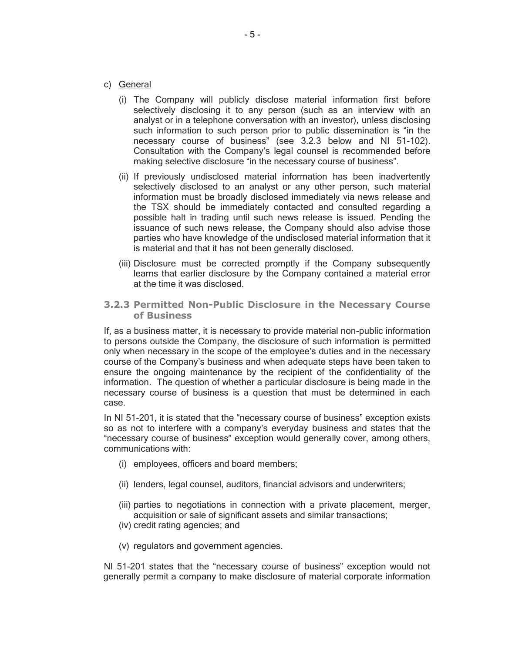- c) General
	- (i) The Company will publicly disclose material information first before selectively disclosing it to any person (such as an interview with an analyst or in a telephone conversation with an investor), unless disclosing such information to such person prior to public dissemination is "in the necessary course of business" (see 3.2.3 below and NI 51-102). Consultation with the Company's legal counsel is recommended before making selective disclosure "in the necessary course of business".
	- (ii) If previously undisclosed material information has been inadvertently selectively disclosed to an analyst or any other person, such material information must be broadly disclosed immediately via news release and the TSX should be immediately contacted and consulted regarding a possible halt in trading until such news release is issued. Pending the issuance of such news release, the Company should also advise those parties who have knowledge of the undisclosed material information that it is material and that it has not been generally disclosed.
	- (iii) Disclosure must be corrected promptly if the Company subsequently learns that earlier disclosure by the Company contained a material error at the time it was disclosed.
- **3.2.3 Permitted Non-Public Disclosure in the Necessary Course of Business**

If, as a business matter, it is necessary to provide material non-public information to persons outside the Company, the disclosure of such information is permitted only when necessary in the scope of the employee's duties and in the necessary course of the Company's business and when adequate steps have been taken to ensure the ongoing maintenance by the recipient of the confidentiality of the information. The question of whether a particular disclosure is being made in the necessary course of business is a question that must be determined in each case.

In NI 51-201, it is stated that the "necessary course of business" exception exists so as not to interfere with a company's everyday business and states that the "necessary course of business" exception would generally cover, among others, communications with:

- (i) employees, officers and board members;
- (ii) lenders, legal counsel, auditors, financial advisors and underwriters;
- (iii) parties to negotiations in connection with a private placement, merger, acquisition or sale of significant assets and similar transactions;
- (iv) credit rating agencies; and
- (v) regulators and government agencies.

NI 51-201 states that the "necessary course of business" exception would not generally permit a company to make disclosure of material corporate information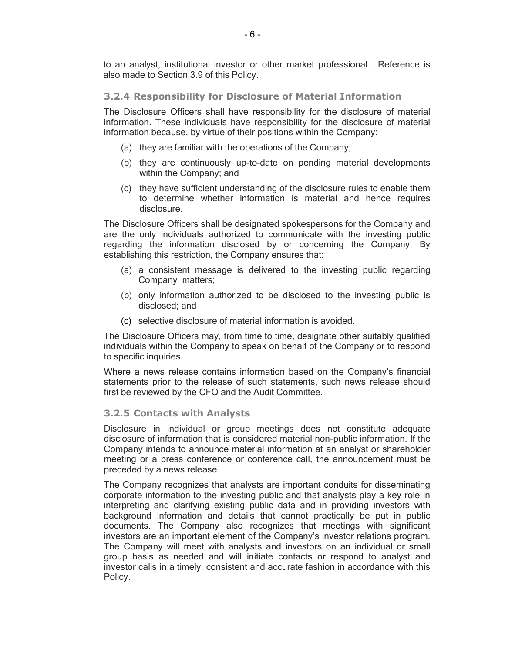to an analyst, institutional investor or other market professional. Reference is also made to Section 3.9 of this Policy.

#### **3.2.4 Responsibility for Disclosure of Material Information**

The Disclosure Officers shall have responsibility for the disclosure of material information. These individuals have responsibility for the disclosure of material information because, by virtue of their positions within the Company:

- (a) they are familiar with the operations of the Company;
- (b) they are continuously up-to-date on pending material developments within the Company; and
- (c) they have sufficient understanding of the disclosure rules to enable them to determine whether information is material and hence requires disclosure.

The Disclosure Officers shall be designated spokespersons for the Company and are the only individuals authorized to communicate with the investing public regarding the information disclosed by or concerning the Company. By establishing this restriction, the Company ensures that:

- (a) a consistent message is delivered to the investing public regarding Company matters;
- (b) only information authorized to be disclosed to the investing public is disclosed; and
- (c) selective disclosure of material information is avoided.

The Disclosure Officers may, from time to time, designate other suitably qualified individuals within the Company to speak on behalf of the Company or to respond to specific inquiries.

Where a news release contains information based on the Company's financial statements prior to the release of such statements, such news release should first be reviewed by the CFO and the Audit Committee.

#### **3.2.5 Contacts with Analysts**

Disclosure in individual or group meetings does not constitute adequate disclosure of information that is considered material non-public information. If the Company intends to announce material information at an analyst or shareholder meeting or a press conference or conference call, the announcement must be preceded by a news release.

The Company recognizes that analysts are important conduits for disseminating corporate information to the investing public and that analysts play a key role in interpreting and clarifying existing public data and in providing investors with background information and details that cannot practically be put in public documents. The Company also recognizes that meetings with significant investors are an important element of the Company's investor relations program. The Company will meet with analysts and investors on an individual or small group basis as needed and will initiate contacts or respond to analyst and investor calls in a timely, consistent and accurate fashion in accordance with this Policy.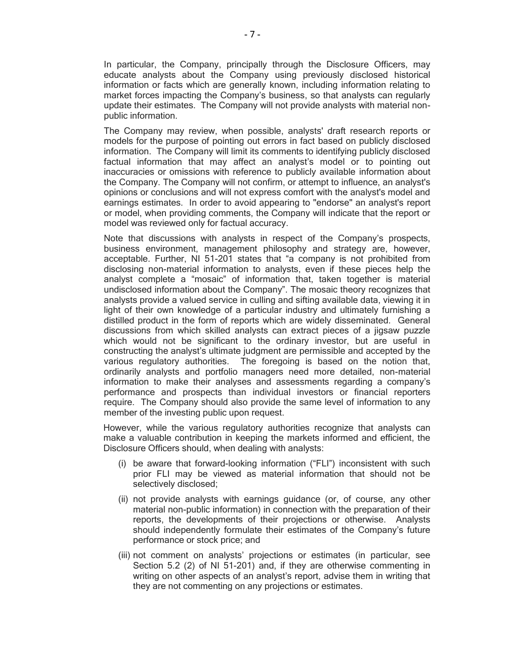In particular, the Company, principally through the Disclosure Officers, may educate analysts about the Company using previously disclosed historical information or facts which are generally known, including information relating to market forces impacting the Company's business, so that analysts can regularly update their estimates. The Company will not provide analysts with material nonpublic information.

The Company may review, when possible, analysts' draft research reports or models for the purpose of pointing out errors in fact based on publicly disclosed information. The Company will limit its comments to identifying publicly disclosed factual information that may affect an analyst's model or to pointing out inaccuracies or omissions with reference to publicly available information about the Company. The Company will not confirm, or attempt to influence, an analyst's opinions or conclusions and will not express comfort with the analyst's model and earnings estimates. In order to avoid appearing to "endorse" an analyst's report or model, when providing comments, the Company will indicate that the report or model was reviewed only for factual accuracy.

Note that discussions with analysts in respect of the Company's prospects, business environment, management philosophy and strategy are, however, acceptable. Further, NI 51-201 states that "a company is not prohibited from disclosing non-material information to analysts, even if these pieces help the analyst complete a "mosaic" of information that, taken together is material undisclosed information about the Company". The mosaic theory recognizes that analysts provide a valued service in culling and sifting available data, viewing it in light of their own knowledge of a particular industry and ultimately furnishing a distilled product in the form of reports which are widely disseminated. General discussions from which skilled analysts can extract pieces of a jigsaw puzzle which would not be significant to the ordinary investor, but are useful in constructing the analyst's ultimate judgment are permissible and accepted by the various regulatory authorities. The foregoing is based on the notion that, ordinarily analysts and portfolio managers need more detailed, non-material information to make their analyses and assessments regarding a company's performance and prospects than individual investors or financial reporters require. The Company should also provide the same level of information to any member of the investing public upon request.

However, while the various regulatory authorities recognize that analysts can make a valuable contribution in keeping the markets informed and efficient, the Disclosure Officers should, when dealing with analysts:

- (i) be aware that forward-looking information ("FLI") inconsistent with such prior FLI may be viewed as material information that should not be selectively disclosed;
- (ii) not provide analysts with earnings guidance (or, of course, any other material non-public information) in connection with the preparation of their reports, the developments of their projections or otherwise. Analysts should independently formulate their estimates of the Company's future performance or stock price; and
- (iii) not comment on analysts' projections or estimates (in particular, see Section 5.2 (2) of NI 51-201) and, if they are otherwise commenting in writing on other aspects of an analyst's report, advise them in writing that they are not commenting on any projections or estimates.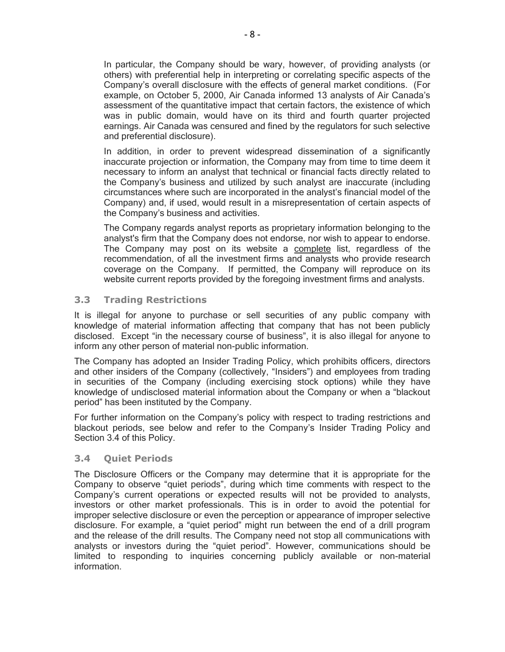In particular, the Company should be wary, however, of providing analysts (or others) with preferential help in interpreting or correlating specific aspects of the Company's overall disclosure with the effects of general market conditions. (For example, on October 5, 2000, Air Canada informed 13 analysts of Air Canada's assessment of the quantitative impact that certain factors, the existence of which was in public domain, would have on its third and fourth quarter projected earnings. Air Canada was censured and fined by the regulators for such selective and preferential disclosure).

In addition, in order to prevent widespread dissemination of a significantly inaccurate projection or information, the Company may from time to time deem it necessary to inform an analyst that technical or financial facts directly related to the Company's business and utilized by such analyst are inaccurate (including circumstances where such are incorporated in the analyst's financial model of the Company) and, if used, would result in a misrepresentation of certain aspects of the Company's business and activities.

The Company regards analyst reports as proprietary information belonging to the analyst's firm that the Company does not endorse, nor wish to appear to endorse. The Company may post on its website a complete list, regardless of the recommendation, of all the investment firms and analysts who provide research coverage on the Company. If permitted, the Company will reproduce on its website current reports provided by the foregoing investment firms and analysts.

#### **3.3 Trading Restrictions**

It is illegal for anyone to purchase or sell securities of any public company with knowledge of material information affecting that company that has not been publicly disclosed. Except "in the necessary course of business", it is also illegal for anyone to inform any other person of material non-public information.

The Company has adopted an Insider Trading Policy, which prohibits officers, directors and other insiders of the Company (collectively, "Insiders") and employees from trading in securities of the Company (including exercising stock options) while they have knowledge of undisclosed material information about the Company or when a "blackout period" has been instituted by the Company.

For further information on the Company's policy with respect to trading restrictions and blackout periods, see below and refer to the Company's Insider Trading Policy and Section 3.4 of this Policy.

#### **3.4 Quiet Periods**

The Disclosure Officers or the Company may determine that it is appropriate for the Company to observe "quiet periods", during which time comments with respect to the Company's current operations or expected results will not be provided to analysts, investors or other market professionals. This is in order to avoid the potential for improper selective disclosure or even the perception or appearance of improper selective disclosure. For example, a "quiet period" might run between the end of a drill program and the release of the drill results. The Company need not stop all communications with analysts or investors during the "quiet period". However, communications should be limited to responding to inquiries concerning publicly available or non-material information.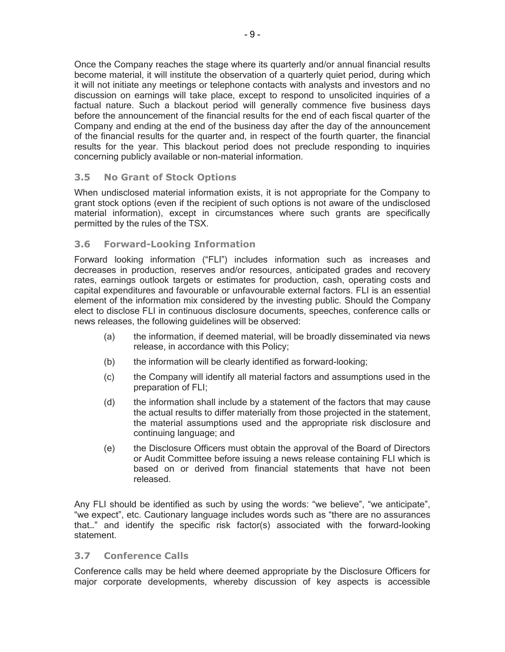Once the Company reaches the stage where its quarterly and/or annual financial results become material, it will institute the observation of a quarterly quiet period, during which it will not initiate any meetings or telephone contacts with analysts and investors and no discussion on earnings will take place, except to respond to unsolicited inquiries of a factual nature. Such a blackout period will generally commence five business days before the announcement of the financial results for the end of each fiscal quarter of the Company and ending at the end of the business day after the day of the announcement of the financial results for the quarter and, in respect of the fourth quarter, the financial results for the year. This blackout period does not preclude responding to inquiries concerning publicly available or non-material information.

#### **3.5 No Grant of Stock Options**

When undisclosed material information exists, it is not appropriate for the Company to grant stock options (even if the recipient of such options is not aware of the undisclosed material information), except in circumstances where such grants are specifically permitted by the rules of the TSX.

#### **3.6 Forward-Looking Information**

Forward looking information ("FLI") includes information such as increases and decreases in production, reserves and/or resources, anticipated grades and recovery rates, earnings outlook targets or estimates for production, cash, operating costs and capital expenditures and favourable or unfavourable external factors. FLI is an essential element of the information mix considered by the investing public. Should the Company elect to disclose FLI in continuous disclosure documents, speeches, conference calls or news releases, the following guidelines will be observed:

- (a) the information, if deemed material, will be broadly disseminated via news release, in accordance with this Policy;
- (b) the information will be clearly identified as forward-looking;
- (c) the Company will identify all material factors and assumptions used in the preparation of FLI;
- (d) the information shall include by a statement of the factors that may cause the actual results to differ materially from those projected in the statement, the material assumptions used and the appropriate risk disclosure and continuing language; and
- (e) the Disclosure Officers must obtain the approval of the Board of Directors or Audit Committee before issuing a news release containing FLI which is based on or derived from financial statements that have not been released.

Any FLI should be identified as such by using the words: "we believe", "we anticipate", "we expect", etc. Cautionary language includes words such as "there are no assurances that…" and identify the specific risk factor(s) associated with the forward-looking statement.

#### **3.7 Conference Calls**

Conference calls may be held where deemed appropriate by the Disclosure Officers for major corporate developments, whereby discussion of key aspects is accessible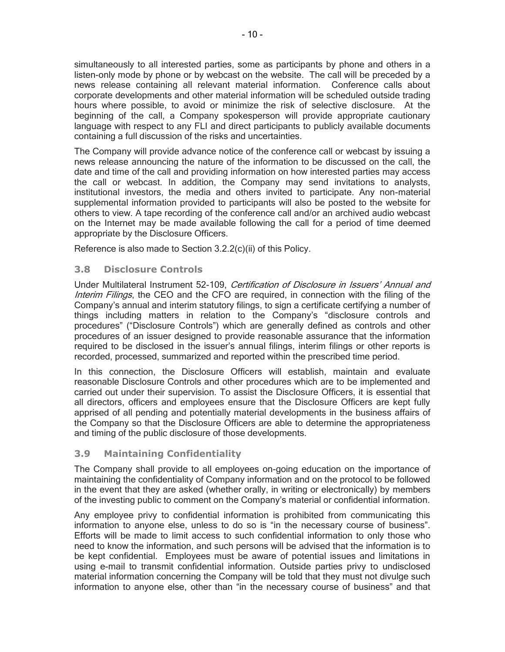simultaneously to all interested parties, some as participants by phone and others in a listen-only mode by phone or by webcast on the website. The call will be preceded by a news release containing all relevant material information. Conference calls about corporate developments and other material information will be scheduled outside trading hours where possible, to avoid or minimize the risk of selective disclosure. At the beginning of the call, a Company spokesperson will provide appropriate cautionary language with respect to any FLI and direct participants to publicly available documents containing a full discussion of the risks and uncertainties.

The Company will provide advance notice of the conference call or webcast by issuing a news release announcing the nature of the information to be discussed on the call, the date and time of the call and providing information on how interested parties may access the call or webcast. In addition, the Company may send invitations to analysts, institutional investors, the media and others invited to participate. Any non-material supplemental information provided to participants will also be posted to the website for others to view. A tape recording of the conference call and/or an archived audio webcast on the Internet may be made available following the call for a period of time deemed appropriate by the Disclosure Officers.

Reference is also made to Section 3.2.2(c)(ii) of this Policy.

#### **3.8 Disclosure Controls**

Under Multilateral Instrument 52-109, Certification of Disclosure in Issuers' Annual and Interim Filings, the CEO and the CFO are required, in connection with the filing of the Company's annual and interim statutory filings, to sign a certificate certifying a number of things including matters in relation to the Company's "disclosure controls and procedures" ("Disclosure Controls") which are generally defined as controls and other procedures of an issuer designed to provide reasonable assurance that the information required to be disclosed in the issuer's annual filings, interim filings or other reports is recorded, processed, summarized and reported within the prescribed time period.

In this connection, the Disclosure Officers will establish, maintain and evaluate reasonable Disclosure Controls and other procedures which are to be implemented and carried out under their supervision. To assist the Disclosure Officers, it is essential that all directors, officers and employees ensure that the Disclosure Officers are kept fully apprised of all pending and potentially material developments in the business affairs of the Company so that the Disclosure Officers are able to determine the appropriateness and timing of the public disclosure of those developments.

#### **3.9 Maintaining Confidentiality**

The Company shall provide to all employees on-going education on the importance of maintaining the confidentiality of Company information and on the protocol to be followed in the event that they are asked (whether orally, in writing or electronically) by members of the investing public to comment on the Company's material or confidential information.

Any employee privy to confidential information is prohibited from communicating this information to anyone else, unless to do so is "in the necessary course of business". Efforts will be made to limit access to such confidential information to only those who need to know the information, and such persons will be advised that the information is to be kept confidential. Employees must be aware of potential issues and limitations in using e-mail to transmit confidential information. Outside parties privy to undisclosed material information concerning the Company will be told that they must not divulge such information to anyone else, other than "in the necessary course of business" and that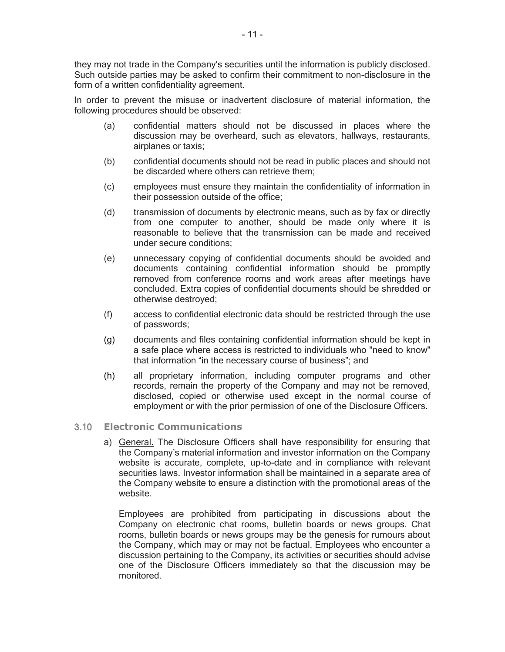they may not trade in the Company's securities until the information is publicly disclosed. Such outside parties may be asked to confirm their commitment to non-disclosure in the form of a written confidentiality agreement.

In order to prevent the misuse or inadvertent disclosure of material information, the following procedures should be observed:

- (a) confidential matters should not be discussed in places where the discussion may be overheard, such as elevators, hallways, restaurants, airplanes or taxis;
- (b) confidential documents should not be read in public places and should not be discarded where others can retrieve them;
- (c) employees must ensure they maintain the confidentiality of information in their possession outside of the office;
- (d) transmission of documents by electronic means, such as by fax or directly from one computer to another, should be made only where it is reasonable to believe that the transmission can be made and received under secure conditions;
- (e) unnecessary copying of confidential documents should be avoided and documents containing confidential information should be promptly removed from conference rooms and work areas after meetings have concluded. Extra copies of confidential documents should be shredded or otherwise destroyed;
- (f) access to confidential electronic data should be restricted through the use of passwords;
- (g) documents and files containing confidential information should be kept in a safe place where access is restricted to individuals who "need to know" that information "in the necessary course of business"; and
- (h) all proprietary information, including computer programs and other records, remain the property of the Company and may not be removed, disclosed, copied or otherwise used except in the normal course of employment or with the prior permission of one of the Disclosure Officers.

#### 3.10 **Electronic Communications**

a) General. The Disclosure Officers shall have responsibility for ensuring that the Company's material information and investor information on the Company website is accurate, complete, up-to-date and in compliance with relevant securities laws. Investor information shall be maintained in a separate area of the Company website to ensure a distinction with the promotional areas of the website.

Employees are prohibited from participating in discussions about the Company on electronic chat rooms, bulletin boards or news groups. Chat rooms, bulletin boards or news groups may be the genesis for rumours about the Company, which may or may not be factual. Employees who encounter a discussion pertaining to the Company, its activities or securities should advise one of the Disclosure Officers immediately so that the discussion may be monitored.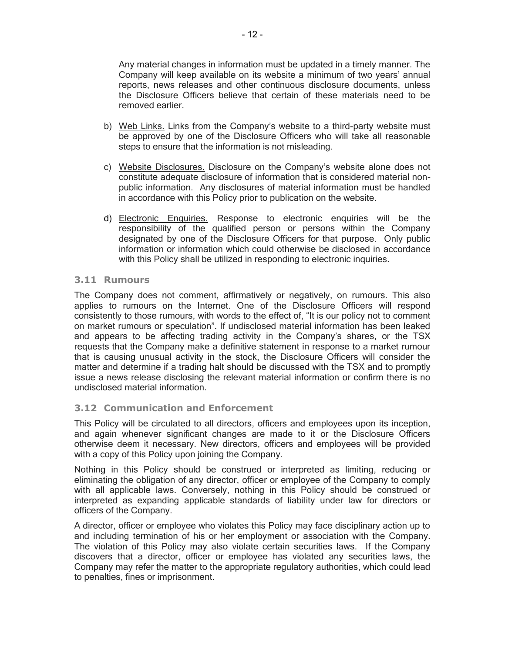Any material changes in information must be updated in a timely manner. The Company will keep available on its website a minimum of two years' annual reports, news releases and other continuous disclosure documents, unless the Disclosure Officers believe that certain of these materials need to be removed earlier.

- b) Web Links. Links from the Company's website to a third-party website must be approved by one of the Disclosure Officers who will take all reasonable steps to ensure that the information is not misleading.
- c) Website Disclosures. Disclosure on the Company's website alone does not constitute adequate disclosure of information that is considered material nonpublic information. Any disclosures of material information must be handled in accordance with this Policy prior to publication on the website.
- d) Electronic Enquiries. Response to electronic enquiries will be the responsibility of the qualified person or persons within the Company designated by one of the Disclosure Officers for that purpose. Only public information or information which could otherwise be disclosed in accordance with this Policy shall be utilized in responding to electronic inquiries.

#### **3.11 Rumours**

The Company does not comment, affirmatively or negatively, on rumours. This also applies to rumours on the Internet. One of the Disclosure Officers will respond consistently to those rumours, with words to the effect of, "It is our policy not to comment on market rumours or speculation". If undisclosed material information has been leaked and appears to be affecting trading activity in the Company's shares, or the TSX requests that the Company make a definitive statement in response to a market rumour that is causing unusual activity in the stock, the Disclosure Officers will consider the matter and determine if a trading halt should be discussed with the TSX and to promptly issue a news release disclosing the relevant material information or confirm there is no undisclosed material information.

#### **3.12 Communication and Enforcement**

This Policy will be circulated to all directors, officers and employees upon its inception, and again whenever significant changes are made to it or the Disclosure Officers otherwise deem it necessary. New directors, officers and employees will be provided with a copy of this Policy upon joining the Company.

Nothing in this Policy should be construed or interpreted as limiting, reducing or eliminating the obligation of any director, officer or employee of the Company to comply with all applicable laws. Conversely, nothing in this Policy should be construed or interpreted as expanding applicable standards of liability under law for directors or officers of the Company.

A director, officer or employee who violates this Policy may face disciplinary action up to and including termination of his or her employment or association with the Company. The violation of this Policy may also violate certain securities laws. If the Company discovers that a director, officer or employee has violated any securities laws, the Company may refer the matter to the appropriate regulatory authorities, which could lead to penalties, fines or imprisonment.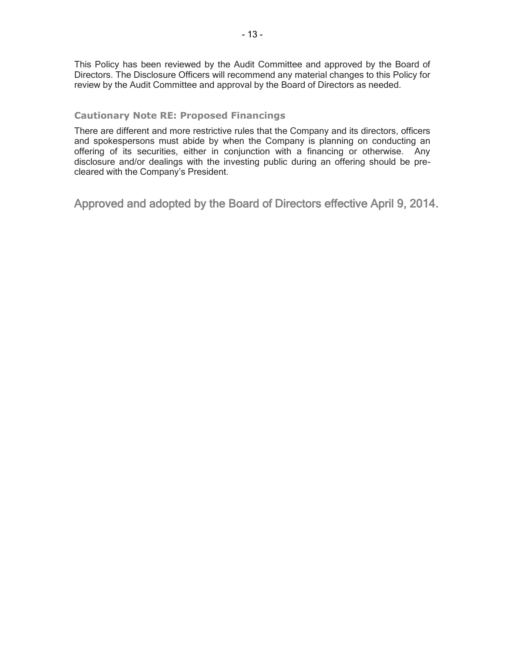This Policy has been reviewed by the Audit Committee and approved by the Board of Directors. The Disclosure Officers will recommend any material changes to this Policy for review by the Audit Committee and approval by the Board of Directors as needed.

#### **Cautionary Note RE: Proposed Financings**

There are different and more restrictive rules that the Company and its directors, officers and spokespersons must abide by when the Company is planning on conducting an offering of its securities, either in conjunction with a financing or otherwise. Any disclosure and/or dealings with the investing public during an offering should be precleared with the Company's President.

Approved and adopted by the Board of Directors effective April 9, 2014.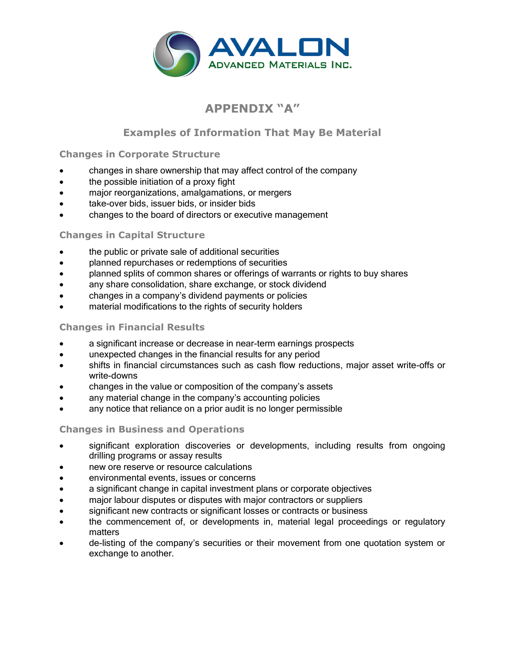

# **APPENDIX "A"**

# **Examples of Information That May Be Material**

# **Changes in Corporate Structure**

- changes in share ownership that may affect control of the company
- the possible initiation of a proxy fight
- major reorganizations, amalgamations, or mergers
- take-over bids, issuer bids, or insider bids
- changes to the board of directors or executive management

# **Changes in Capital Structure**

- the public or private sale of additional securities
- planned repurchases or redemptions of securities
- planned splits of common shares or offerings of warrants or rights to buy shares
- any share consolidation, share exchange, or stock dividend
- changes in a company's dividend payments or policies
- **•** material modifications to the rights of security holders

### **Changes in Financial Results**

- a significant increase or decrease in near-term earnings prospects
- unexpected changes in the financial results for any period
- shifts in financial circumstances such as cash flow reductions, major asset write-offs or write-downs
- changes in the value or composition of the company's assets
- any material change in the company's accounting policies
- any notice that reliance on a prior audit is no longer permissible

# **Changes in Business and Operations**

- significant exploration discoveries or developments, including results from ongoing drilling programs or assay results
- new ore reserve or resource calculations
- environmental events, issues or concerns
- a significant change in capital investment plans or corporate objectives
- major labour disputes or disputes with major contractors or suppliers
- significant new contracts or significant losses or contracts or business
- the commencement of, or developments in, material legal proceedings or regulatory matters
- de-listing of the company's securities or their movement from one quotation system or exchange to another.